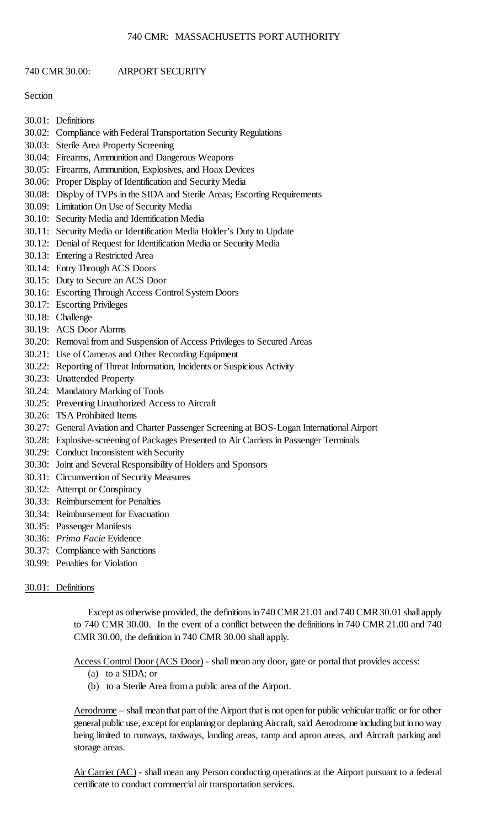# 740 CMR 30.00: AIRPORT SECURITY

# Section

- 30.01: Definitions
- 30.02: Compliance with Federal Transportation Security Regulations
- 30.03: Sterile Area Property Screening
- 30.04: Firearms, Ammunition and Dangerous Weapons
- 30.05: Firearms, Ammunition, Explosives, and Hoax Devices
- 30.06: Proper Display of Identification and Security Media
- 30.08: Display of TVPs in the SIDA and Sterile Areas; Escorting Requirements
- 30.09: Limitation On Use of Security Media
- 30.10: Security Media and Identification Media
- 30.11: Security Media or Identification Media Holder's Duty to Update
- 30.12: Denial of Request for Identification Media or Security Media
- 30.13: Entering a Restricted Area
- 30.14: Entry Through ACS Doors
- 30.15: Duty to Secure an ACS Door
- 30.16: Escorting Through Access Control System Doors
- 30.17: Escorting Privileges
- 30.18: Challenge
- 30.19: ACS Door Alarms
- 30.20: Removal from and Suspension of Access Privileges to Secured Areas
- 30.21: Use of Cameras and Other Recording Equipment
- 30.22: Reporting of Threat Information, Incidents or Suspicious Activity
- 30.23: Unattended Property
- 30.24: Mandatory Marking of Tools
- 30.25: Preventing Unauthorized Access to Aircraft
- 30.26: TSA Prohibited Items
- 30.27: General Aviation and Charter Passenger Screening at BOS-Logan International Airport
- 30.28: Explosive-screening of Packages Presented to Air Carriers in Passenger Terminals
- 30.29: Conduct Inconsistent with Security
- 30.30: Joint and Several Responsibility of Holders and Sponsors
- 30.31: Circumvention of Security Measures
- 30.32: Attempt or Conspiracy
- 30.33: Reimbursement for Penalties
- 30.34: Reimbursement for Evacuation
- 30.35: Passenger Manifests
- 30.36: *Prima Facie* Evidence
- 30.37: Compliance with Sanctions
- 30.99: Penalties for Violation

## 30.01: Definitions

 to 740 CMR 30.00. In the event of a conflict between the definitions in 740 CMR 21.00 and 740 Except as otherwise provided, the definitions in 740 CMR 21.01 and 740 CMR 30.01 shall apply CMR 30.00, the definition in 740 CMR 30.00 shall apply.

Access Control Door (ACS Door) - shall mean any door, gate or portal that provides access:

- (a) to a SIDA; or
- (b) to a Sterile Area from a public area of the Airport.

Aerodrome – shall mean that part of the Airport that is not open for public vehicular traffic or for other general public use, except for enplaning or deplaning Aircraft, said Aerodrome including but in no way being limited to runways, taxiways, landing areas, ramp and apron areas, and Aircraft parking and storage areas.

Air Carrier (AC) - shall mean any Person conducting operations at the Airport pursuant to a federal certificate to conduct commercial air transportation services.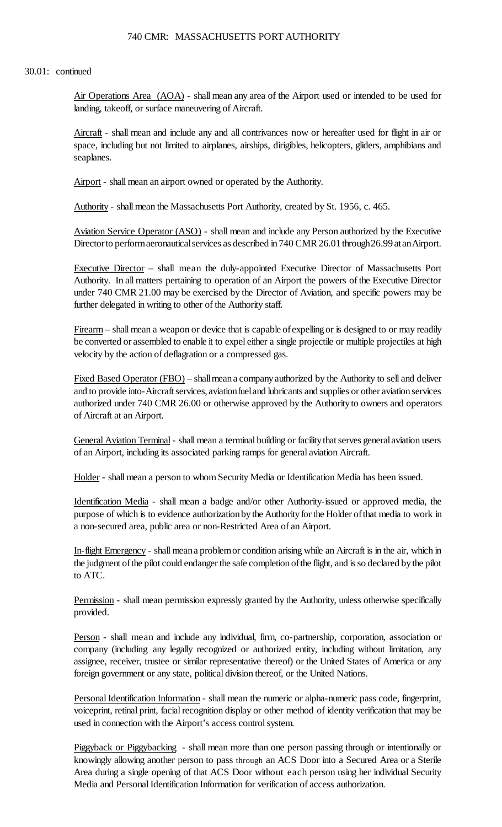## 30.01: continued

Air Operations Area (AOA) - shall mean any area of the Airport used or intended to be used for landing, takeoff, or surface maneuvering of Aircraft.

Aircraft - shall mean and include any and all contrivances now or hereafter used for flight in air or space, including but not limited to airplanes, airships, dirigibles, helicopters, gliders, amphibians and seaplanes.

Airport - shall mean an airport owned or operated by the Authority.

Authority - shall mean the Massachusetts Port Authority, created by St. 1956, c. 465.

Aviation Service Operator (ASO) - shall mean and include any Person authorized by the Executive Director to perform aeronautical services as described in 740 CMR 26.01 through26.99 at anAirport.

 Authority. In all matters pertaining to operation of an Airport the powers of the Executive Director under 740 CMR 21.00 may be exercised by the Director of Aviation, and specific powers may be Executive Director - shall mean the duly-appointed Executive Director of Massachusetts Port further delegated in writing to other of the Authority staff.

Firearm – shall mean a weapon or device that is capable of expelling or is designed to or may readily be converted or assembled to enable it to expel either a single projectile or multiple projectiles at high velocity by the action of deflagration or a compressed gas.

Fixed Based Operator (FBO) – shall mean a company authorized by the Authority to sell and deliver and to provide into-Aircraft services, aviationfuel and lubricants and supplies or other aviation services authorized under 740 CMR 26.00 or otherwise approved by the Authority to owners and operators of Aircraft at an Airport.

General Aviation Terminal - shall mean a terminal building or facility that serves general aviation users of an Airport, including its associated parking ramps for general aviation Aircraft.

Holder - shall mean a person to whom Security Media or Identification Media has been issued.

purpose of which is to evidence authorization by the Authority for the Holder of that media to work in Identification Media - shall mean a badge and/or other Authority-issued or approved media, the a non-secured area, public area or non-Restricted Area of an Airport.

 In-flight Emergency - shall meana problemor condition arising while an Aircraft is in the air, which in the judgment of the pilot could endanger the safe completion of the flight, and is so declared by the pilot to ATC.

Permission - shall mean permission expressly granted by the Authority, unless otherwise specifically provided.

Person - shall mean and include any individual, firm, co-partnership, corporation, association or company (including any legally recognized or authorized entity, including without limitation, any assignee, receiver, trustee or similar representative thereof) or the United States of America or any foreign government or any state, political division thereof, or the United Nations.

Personal Identification Information - shall mean the numeric or alpha-numeric pass code, fingerprint, voiceprint, retinal print, facial recognition display or other method of identity verification that may be used in connection with the Airport's access control system.

 knowingly allowing another person to pass through an ACS Door into a Secured Area or a Sterile Piggyback or Piggybacking - shall mean more than one person passing through or intentionally or Area during a single opening of that ACS Door without each person using her individual Security Media and Personal Identification Information for verification of access authorization.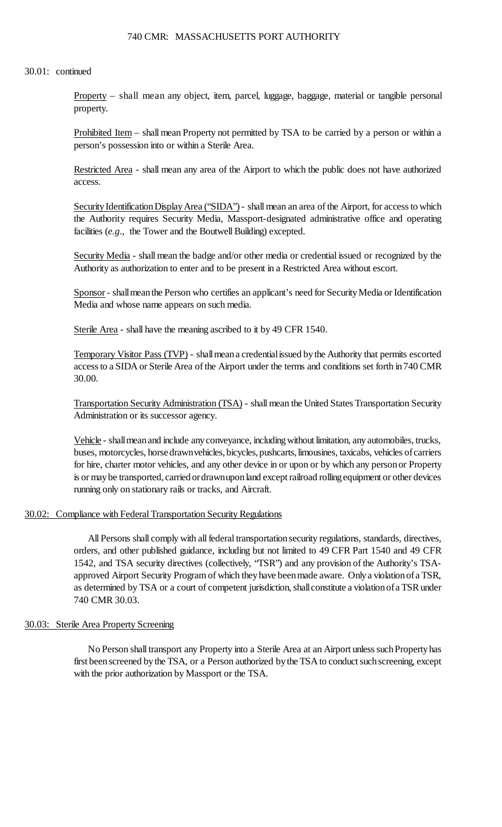#### 30.01: continued

Property – shall mean any object, item, parcel, luggage, baggage, material or tangible personal property.

Prohibited Item – shall mean Property not permitted by TSA to be carried by a person or within a person's possession into or within a Sterile Area.

Restricted Area - shall mean any area of the Airport to which the public does not have authorized access.

Security Identification Display Area ("SIDA") - shall mean an area of the Airport, for access to which the Authority requires Security Media, Massport-designated administrative office and operating facilities (*e.g*., the Tower and the Boutwell Building) excepted.

Security Media - shall mean the badge and/or other media or credential issued or recognized by the Authority as authorization to enter and to be present in a Restricted Area without escort.

Sponsor - shall mean the Person who certifies an applicant's need for Security Media or Identification Media and whose name appears on such media.

Sterile Area - shall have the meaning ascribed to it by 49 CFR 1540.

Temporary Visitor Pass (TVP) - shall mean a credential issued by the Authority that permits escorted access to a SIDA or Sterile Area of the Airport under the terms and conditions set forth in 740 CMR 30.00.

 Transportation Security Administration (TSA) - shall mean the United States Transportation Security Administration or its successor agency.

 buses, motorcycles, horsedrawnvehicles, bicycles, pushcarts, limousines, taxicabs, vehicles of carriers is or may be transported, carried ordrawnupon land except railroad rolling equipment or other devices Vehicle - shall mean and include any conveyance, including without limitation, any automobiles, trucks, for hire, charter motor vehicles, and any other device in or upon or by which any person or Property running only on stationary rails or tracks, and Aircraft.

# 30.02: Compliance with Federal Transportation Security Regulations

 1542, and TSA security directives (collectively, "TSR") and any provision of the Authority's TSA- approved Airport Security Program of which they have been made aware. Only a violation of a TSR, as determined by TSA or a court of competent jurisdiction, shall constitute a violation of a TSR under All Persons shall comply with all federal transportation security regulations, standards, directives, orders, and other published guidance, including but not limited to 49 CFR Part 1540 and 49 CFR 740 CMR 30.03.

### 30.03: Sterile Area Property Screening

 No Person shall transport any Property into a Sterile Area at an Airport unless suchPropertyhas first been screened by the TSA, or a Person authorized by the TSA to conduct such screening, except with the prior authorization by Massport or the TSA.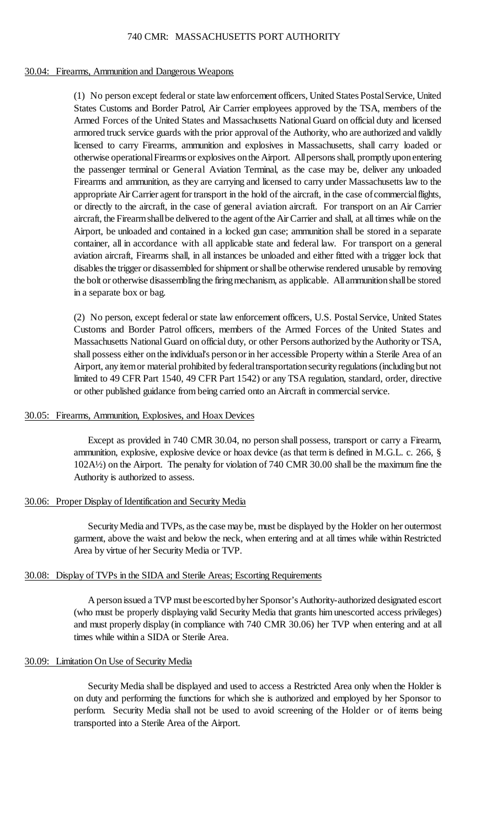#### 30.04: Firearms, Ammunition and Dangerous Weapons

 (1) No person except federal or state law enforcement officers, United States Postal Service, United Firearms and ammunition, as they are carrying and licensed to carry under Massachusetts law to the appropriate Air Carrier agent for transport in the hold of the aircraft, in the case of commercial flights, aircraft, the Firearm shall be delivered to the agent of the Air Carrier and shall, at all times while on the Airport, be unloaded and contained in a locked gun case; ammunition shall be stored in a separate disables the trigger or disassembled for shipment or shall be otherwise rendered unusable by removing States Customs and Border Patrol, Air Carrier employees approved by the TSA, members of the Armed Forces of the United States and Massachusetts National Guard on official duty and licensed armored truck service guards with the prior approval of the Authority, who are authorized and validly licensed to carry Firearms, ammunition and explosives in Massachusetts, shall carry loaded or otherwise operational Firearms or explosives on the Airport. All persons shall, promptly upon entering the passenger terminal or General Aviation Terminal, as the case may be, deliver any unloaded or directly to the aircraft, in the case of general aviation aircraft. For transport on an Air Carrier container, all in accordance with all applicable state and federal law. For transport on a general aviation aircraft, Firearms shall, in all instances be unloaded and either fitted with a trigger lock that the bolt or otherwise disassembling the firing mechanism, as applicable. All ammunition shall be stored in a separate box or bag.

 (2) No person, except federal or state law enforcement officers, U.S. Postal Service, United States Massachusetts National Guard on official duty, or other Persons authorized bythe Authority or TSA, shall possess either on the individual's person or in her accessible Property within a Sterile Area of an Airport, any item or material prohibited by federal transportation security regulations (including but not Customs and Border Patrol officers, members of the Armed Forces of the United States and limited to 49 CFR Part 1540, 49 CFR Part 1542) or any TSA regulation, standard, order, directive or other published guidance from being carried onto an Aircraft in commercial service.

## 30.05: Firearms, Ammunition, Explosives, and Hoax Devices

 Except as provided in 740 CMR 30.04, no person shall possess, transport or carry a Firearm, ammunition, explosive, explosive device or hoax device (as that term is defined in M.G.L. c. 266, § 102A½) on the Airport. The penalty for violation of 740 CMR 30.00 shall be the maximum fine the Authority is authorized to assess.

## 30.06: Proper Display of Identification and Security Media

 Security Media and TVPs, as the case may be, must be displayed by the Holder on her outermost garment, above the waist and below the neck, when entering and at all times while within Restricted Area by virtue of her Security Media or TVP.

## 30.08: Display of TVPs in the SIDA and Sterile Areas; Escorting Requirements

 A person issued a TVP must beescorted byher Sponsor's Authority-authorized designated escort and must properly display (in compliance with 740 CMR 30.06) her TVP when entering and at all (who must be properly displaying valid Security Media that grants him unescorted access privileges) times while within a SIDA or Sterile Area.

## 30.09: Limitation On Use of Security Media

 perform. Security Media shall not be used to avoid screening of the Holder or of items being Security Media shall be displayed and used to access a Restricted Area only when the Holder is on duty and performing the functions for which she is authorized and employed by her Sponsor to transported into a Sterile Area of the Airport.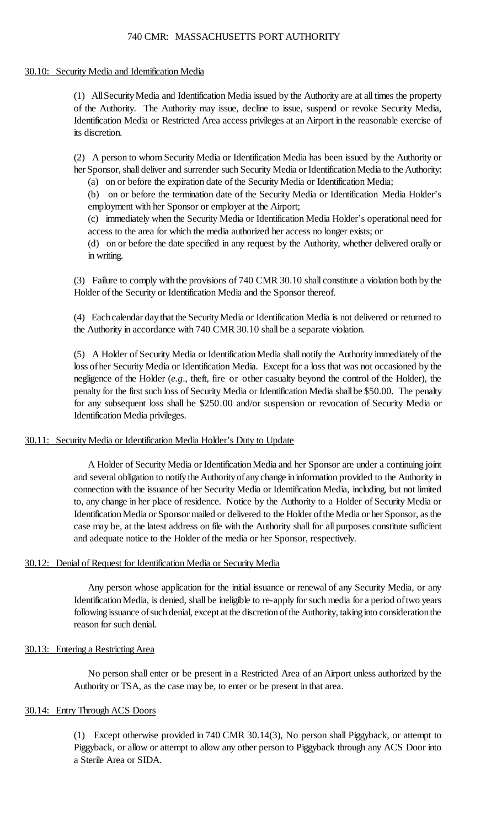## 30.10: Security Media and Identification Media

 (1) AllSecurityMedia and Identification Media issued by the Authority are at all times the property Identification Media or Restricted Area access privileges at an Airport in the reasonable exercise of of the Authority. The Authority may issue, decline to issue, suspend or revoke Security Media, its discretion.

 (2) A person to whom Security Media or Identification Media has been issued by the Authority or her Sponsor, shall deliver and surrender such Security Media or Identification Media to the Authority:

(a) on or before the expiration date of the Security Media or Identification Media;

(b) on or before the termination date of the Security Media or Identification Media Holder's employment with her Sponsor or employer at the Airport;

(c) immediately when the Security Media or Identification Media Holder's operational need for access to the area for which the media authorized her access no longer exists; or

 (d) on or before the date specified in any request by the Authority, whether delivered orally or in writing.

 (3) Failure to comply with the provisions of 740 CMR 30.10 shall constitute a violation both by the Holder of the Security or Identification Media and the Sponsor thereof.

 (4) Each calendar day that the Security Media or Identification Media is not delivered or returned to the Authority in accordance with 740 CMR 30.10 shall be a separate violation.

 loss ofher Security Media or Identification Media. Except for a loss that was not occasioned by the negligence of the Holder (*e.g*., theft, fire or other casualty beyond the control of the Holder), the penalty for the first such loss of Security Media or Identification Media shallbe \$50.00. The penalty (5) A Holder of Security Media or Identification Media shall notify the Authority immediately of the for any subsequent loss shall be \$250.00 and/or suspension or revocation of Security Media or Identification Media privileges.

# 30.11: Security Media or Identification Media Holder's Duty to Update

A Holder of Security Media or Identification Media and her Sponsor are under a continuing joint and several obligation to notify the Authority of any change in information provided to the Authority in to, any change in her place of residence. Notice by the Authority to a Holder of Security Media or Identification Media or Sponsor mailed or delivered to the Holder of the Media or her Sponsor, as the case may be, at the latest address on file with the Authority shall for all purposes constitute sufficient connection with the issuance of her Security Media or Identification Media, including, but not limited and adequate notice to the Holder of the media or her Sponsor, respectively.

# 30.12: Denial of Request for Identification Media or Security Media

 Any person whose application for the initial issuance or renewal of any Security Media, or any IdentificationMedia, is denied, shall be ineligible to re-apply for such media for a period oftwo years following issuance of such denial, except at the discretion of the Authority, taking into consideration the reason for such denial.

# 30.13: Entering a Restricting Area

 No person shall enter or be present in a Restricted Area of an Airport unless authorized by the Authority or TSA, as the case may be, to enter or be present in that area.

# 30.14: Entry Through ACS Doors

 (1) Except otherwise provided in 740 CMR 30.14(3), No person shall Piggyback, or attempt to Piggyback, or allow or attempt to allow any other person to Piggyback through any ACS Door into a Sterile Area or SIDA.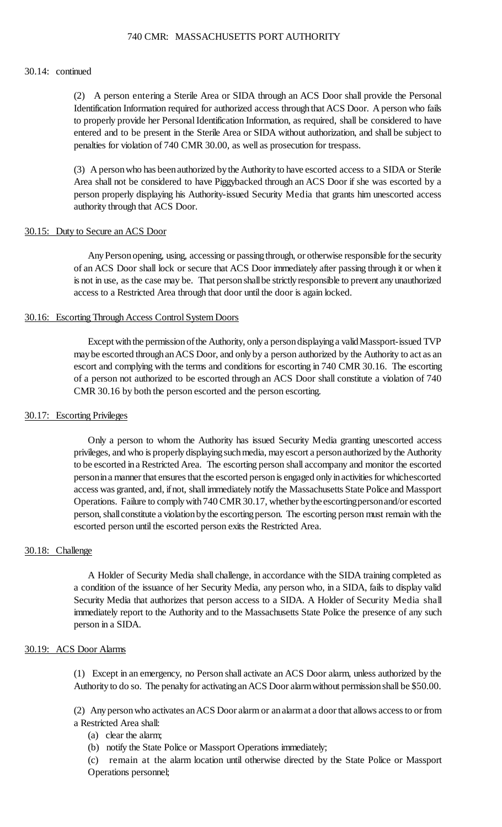#### 30.14: continued

 Identification Information required for authorized access through that ACS Door. A person who fails entered and to be present in the Sterile Area or SIDA without authorization, and shall be subject to (2) A person entering a Sterile Area or SIDA through an ACS Door shall provide the Personal to properly provide her Personal Identification Information, as required, shall be considered to have penalties for violation of 740 CMR 30.00, as well as prosecution for trespass.

 (3) A person who has been authorized by the Authority to have escorted access to a SIDA or Sterile Area shall not be considered to have Piggybacked through an ACS Door if she was escorted by a person properly displaying his Authority-issued Security Media that grants him unescorted access authority through that ACS Door.

### 30.15: Duty to Secure an ACS Door

 Any Person opening, using, accessing or passing through, or otherwise responsible for the security of an ACS Door shall lock or secure that ACS Door immediately after passing through it or when it is not in use, as the case may be. That person shall be strictly responsible to prevent any unauthorized access to a Restricted Area through that door until the door is again locked.

### 30.16: Escorting Through Access Control System Doors

 may be escorted through an ACS Door, and only by a person authorized by the Authority to act as an Except with the permission of the Authority, only a person displaying a validMassport-issued TVP escort and complying with the terms and conditions for escorting in 740 CMR 30.16. The escorting of a person not authorized to be escorted through an ACS Door shall constitute a violation of 740 CMR 30.16 by both the person escorted and the person escorting.

### 30.17: Escorting Privileges

 access was granted, and, if not, shall immediately notify the Massachusetts State Police and Massport Operations. Failure to comply with 740 CMR 30.17, whether bythe escortingpersonand/or escorted person, shall constitute a violation by the escorting person. The escorting person must remain with the Only a person to whom the Authority has issued Security Media granting unescorted access privileges, and who is properly displaying such media, may escort a person authorized by the Authority to be escorted ina Restricted Area. The escorting person shall accompany and monitor the escorted personin a manner that ensures that the escorted person is engaged only in activities for whichescorted escorted person until the escorted person exits the Restricted Area.

## 30.18: Challenge

 A Holder of Security Media shall challenge, in accordance with the SIDA training completed as a condition of the issuance of her Security Media, any person who, in a SIDA, fails to display valid immediately report to the Authority and to the Massachusetts State Police the presence of any such Security Media that authorizes that person access to a SIDA. A Holder of Security Media shall person in a SIDA.

#### 30.19: ACS Door Alarms

(1) Except in an emergency, no Person shall activate an ACS Door alarm, unless authorized by the Authority to do so. The penalty for activating an ACS Door alarm without permission shall be \$50.00.

 (2) Any person who activates an ACS Door alarm or an alarm at a door that allows access to or from a Restricted Area shall:

- (a) clear the alarm;
- (b) notify the State Police or Massport Operations immediately;

 (c) remain at the alarm location until otherwise directed by the State Police or Massport Operations personnel;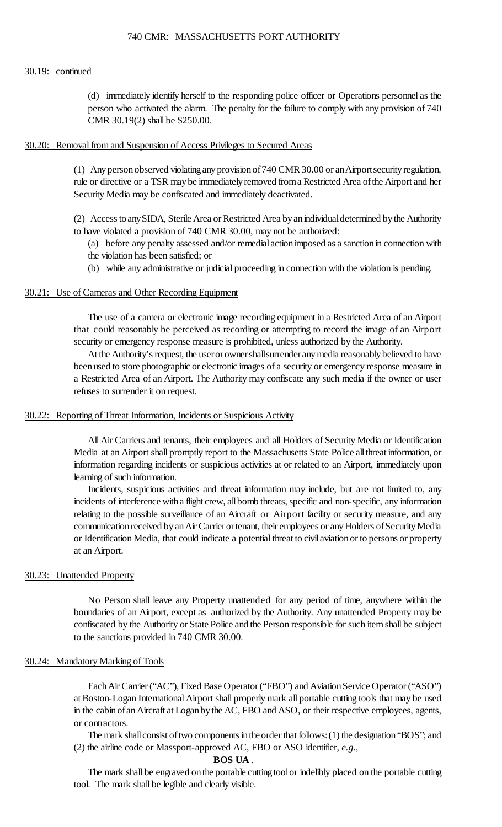#### 30.19: continued

 (d) immediately identify herself to the responding police officer or Operations personnel as the person who activated the alarm. The penalty for the failure to comply with any provision of 740 CMR 30.19(2) shall be \$250.00.

### 30.20: Removal from and Suspension of Access Privileges to Secured Areas

 (1) Any person observed violating any provision of 740 CMR 30.00 or anAirportsecurity regulation, rule or directive or a TSR may be immediately removed from a Restricted Area of the Airport and her Security Media may be confiscated and immediately deactivated.

 (2) Access toanySIDA, Sterile Area or Restricted Area by an individual determined by the Authority to have violated a provision of 740 CMR 30.00, may not be authorized:

- (a) before any penalty assessed and/or remedialactionimposed as a sanctionin connection with
- the violation has been satisfied; or
- (b) while any administrative or judicial proceeding in connection with the violation is pending.

# 30.21: Use of Cameras and Other Recording Equipment

 The use of a camera or electronic image recording equipment in a Restricted Area of an Airport that could reasonably be perceived as recording or attempting to record the image of an Airport security or emergency response measure is prohibited, unless authorized by the Authority.

 At the Authority's request, the userorownershallsurrenderany media reasonably believed to have a Restricted Area of an Airport. The Authority may confiscate any such media if the owner or user been used to store photographic or electronic images of a security or emergency response measure in refuses to surrender it on request.

### 30.22: Reporting of Threat Information, Incidents or Suspicious Activity

 All Air Carriers and tenants, their employees and all Holders of Security Media or Identification Media at an Airport shall promptly report to the Massachusetts State Police allthreat information, or information regarding incidents or suspicious activities at or related to an Airport, immediately upon learning of such information.

 incidents of interference with a flight crew, all bomb threats, specific and non-specific, any information relating to the possible surveillance of an Aircraft or Airport facility or security measure, and any communication received by an Air Carrierortenant, their employees or any Holders of Security Media or Identification Media, that could indicate a potential threat to civilaviationor to persons or property Incidents, suspicious activities and threat information may include, but are not limited to, any at an Airport.

## 30.23: Unattended Property

 boundaries of an Airport, except as authorized by the Authority. Any unattended Property may be No Person shall leave any Property unattended for any period of time, anywhere within the confiscated by the Authority or State Police and the Person responsible for such item shall be subject to the sanctions provided in 740 CMR 30.00.

#### 30.24: Mandatory Marking of Tools

 in the cabin of an Aircraft at Logan by the AC, FBO and ASO, or their respective employees, agents, Each Air Carrier ("AC"), Fixed Base Operator ("FBO") and Aviation Service Operator ("ASO") at Boston-Logan International Airport shall properly mark all portable cutting tools that may be used or contractors.

The mark shall consist of two components in the order that follows: (1) the designation "BOS"; and (2) the airline code or Massport-approved AC, FBO or ASO identifier, *e.g.*,

#### **BOS UA** .

The mark shall be engraved on the portable cutting tool or indelibly placed on the portable cutting tool. The mark shall be legible and clearly visible.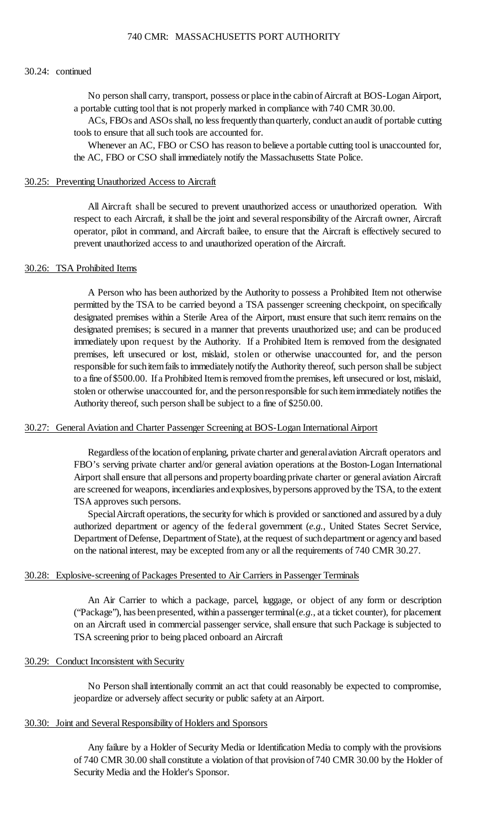### 30.24: continued

 No person shall carry, transport, possess or place inthe cabinofAircraft at BOS-Logan Airport, a portable cutting tool that is not properly marked in compliance with 740 CMR 30.00.

 ACs, FBOs and ASOs shall, no less frequently than quarterly, conduct an audit of portable cutting tools to ensure that all such tools are accounted for.

 Whenever an AC, FBO or CSO has reason to believe a portable cutting tool is unaccounted for, the AC, FBO or CSO shall immediately notify the Massachusetts State Police.

#### 30.25: Preventing Unauthorized Access to Aircraft

 respect to each Aircraft, it shall be the joint and several responsibility of the Aircraft owner, Aircraft operator, pilot in command, and Aircraft bailee, to ensure that the Aircraft is effectively secured to All Aircraft shall be secured to prevent unauthorized access or unauthorized operation. With prevent unauthorized access to and unauthorized operation of the Aircraft.

## 30.26: TSA Prohibited Items

 A Person who has been authorized by the Authority to possess a Prohibited Item not otherwise permitted by the TSA to be carried beyond a TSA passenger screening checkpoint, on specifically designated premises within a Sterile Area of the Airport, must ensure that such item: remains on the responsible for such item fails to immediately notify the Authority thereof, such person shall be subject to a fine of \$500.00. If a Prohibited Item is removed from the premises, left unsecured or lost, mislaid, stolen or otherwise unaccounted for, and the person responsible for such item immediately notifies the designated premises; is secured in a manner that prevents unauthorized use; and can be produced immediately upon request by the Authority. If a Prohibited Item is removed from the designated premises, left unsecured or lost, mislaid, stolen or otherwise unaccounted for, and the person Authority thereof, such person shall be subject to a fine of \$250.00.

# 30.27: General Aviation and Charter Passenger Screening at BOS-Logan International Airport

 Regardless of the location of enplaning, private charter and general aviation Aircraft operators and Airport shall ensure that all persons and property boarding private charter or general aviation Aircraft FBO's serving private charter and/or general aviation operations at the Boston-Logan International are screened for weapons, incendiaries and explosives, bypersons approved by the TSA, to the extent TSA approves such persons.

 Special Aircraft operations, the security for which is provided or sanctioned and assured by a duly Department of Defense, Department of State), at the request of such department or agency and based authorized department or agency of the federal government (*e.g.*, United States Secret Service, on the national interest, may be excepted from any or all the requirements of 740 CMR 30.27.

#### 30.28: Explosive-screening of Packages Presented to Air Carriers in Passenger Terminals

 on an Aircraft used in commercial passenger service, shall ensure that such Package is subjected to An Air Carrier to which a package, parcel, luggage, or object of any form or description ("Package"), has been presented, within a passenger terminal (*e.g.*, at a ticket counter), for placement TSA screening prior to being placed onboard an Aircraft

#### 30.29: Conduct Inconsistent with Security

 No Person shall intentionally commit an act that could reasonably be expected to compromise, jeopardize or adversely affect security or public safety at an Airport.

# 30.30: Joint and Several Responsibility of Holders and Sponsors

 Any failure by a Holder of Security Media or Identification Media to comply with the provisions of 740 CMR 30.00 shall constitute a violation of that provisionof740 CMR 30.00 by the Holder of Security Media and the Holder's Sponsor.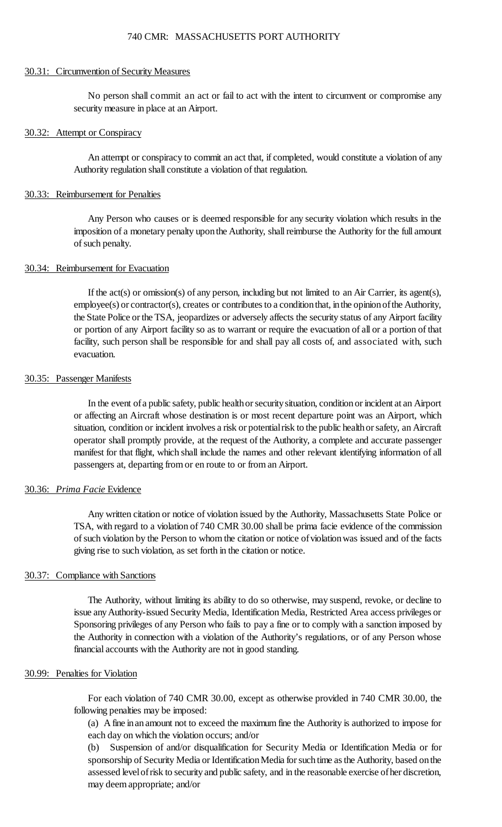#### 30.31: Circumvention of Security Measures

No person shall commit an act or fail to act with the intent to circumvent or compromise any security measure in place at an Airport.

### 30.32: Attempt or Conspiracy

An attempt or conspiracy to commit an act that, if completed, would constitute a violation of any Authority regulation shall constitute a violation of that regulation.

#### 30.33: Reimbursement for Penalties

 Any Person who causes or is deemed responsible for any security violation which results in the imposition of a monetary penalty upon the Authority, shall reimburse the Authority for the full amount of such penalty.

### 30.34: Reimbursement for Evacuation

 If the act(s) or omission(s) of any person, including but not limited to an Air Carrier, its agent(s), the State Police or the TSA, jeopardizes or adversely affects the security status of any Airport facility or portion of any Airport facility so as to warrant or require the evacuation of all or a portion of that employee(s) or contractor(s), creates or contributes to a condition that, in the opinion of the Authority, facility, such person shall be responsible for and shall pay all costs of, and associated with, such evacuation.

### 30.35: Passenger Manifests

 In the event of a public safety, public health or security situation, condition or incident at an Airport situation, condition or incident involves a risk or potential risk to the public health or safety, an Aircraft operator shall promptly provide, at the request of the Authority, a complete and accurate passenger manifest for that flight, which shall include the names and other relevant identifying information of all or affecting an Aircraft whose destination is or most recent departure point was an Airport, which passengers at, departing from or en route to or from an Airport.

#### 30.36: *Prima Facie* Evidence

 Any written citation or notice of violation issued by the Authority, Massachusetts State Police or TSA, with regard to a violation of 740 CMR 30.00 shall be prima facie evidence of the commission of such violation by the Person to whom the citation or notice ofviolationwas issued and of the facts giving rise to such violation, as set forth in the citation or notice.

### 30.37: Compliance with Sanctions

 The Authority, without limiting its ability to do so otherwise, may suspend, revoke, or decline to issue anyAuthority-issued Security Media, Identification Media, Restricted Area access privileges or Sponsoring privileges of any Person who fails to pay a fine or to comply with a sanction imposed by the Authority in connection with a violation of the Authority's regulations, or of any Person whose financial accounts with the Authority are not in good standing.

### 30.99: Penalties for Violation

For each violation of 740 CMR 30.00, except as otherwise provided in 740 CMR 30.00, the following penalties may be imposed:

 (a) A fine inanamount not to exceed the maximum fine the Authority is authorized to impose for each day on which the violation occurs; and/or

 sponsorship of Security Media or Identification Media for such time as the Authority, based on the (b) Suspension of and/or disqualification for Security Media or Identification Media or for assessed level of risk to security and public safety, and in the reasonable exercise of her discretion, may deem appropriate; and/or